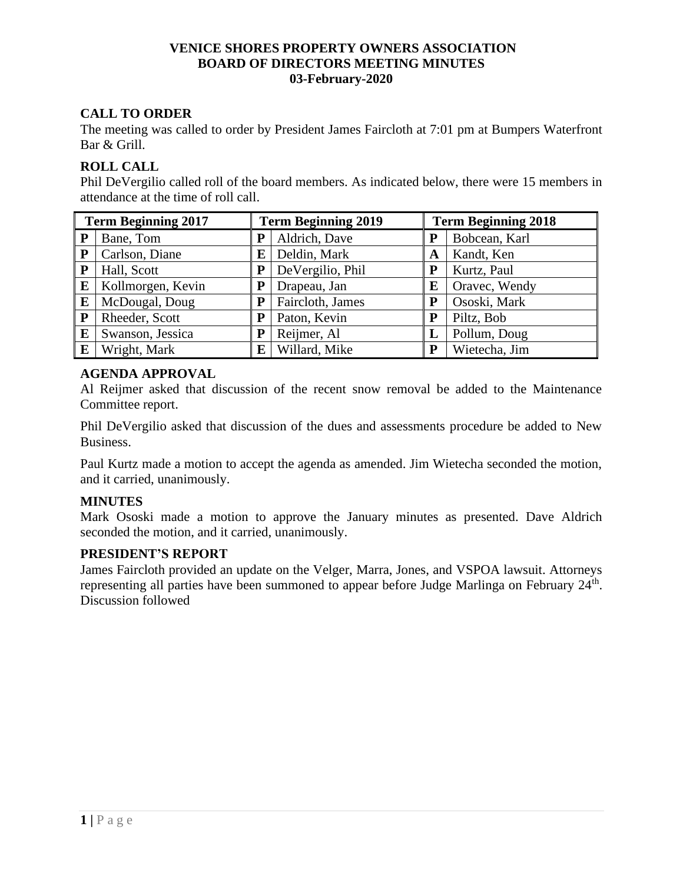## **VENICE SHORES PROPERTY OWNERS ASSOCIATION BOARD OF DIRECTORS MEETING MINUTES 03-February-2020**

# **CALL TO ORDER**

The meeting was called to order by President James Faircloth at 7:01 pm at Bumpers Waterfront Bar & Grill.

# **ROLL CALL**

Phil DeVergilio called roll of the board members. As indicated below, there were 15 members in attendance at the time of roll call.

| <b>Term Beginning 2017</b> |                   | <b>Term Beginning 2019</b> |                     |   | <b>Term Beginning 2018</b> |  |  |
|----------------------------|-------------------|----------------------------|---------------------|---|----------------------------|--|--|
| P                          | Bane, Tom         | P                          | Aldrich, Dave       | P | Bobcean, Karl              |  |  |
| P                          | Carlson, Diane    | ${\bf E}$                  | Deldin, Mark        | A | Kandt, Ken                 |  |  |
| P                          | Hall, Scott       | P                          | DeVergilio, Phil    |   | Kurtz, Paul                |  |  |
| E                          | Kollmorgen, Kevin | Р                          | Drapeau, Jan        | E | Oravec, Wendy              |  |  |
| E                          | McDougal, Doug    | P                          | Faircloth, James    |   | Ososki, Mark               |  |  |
| ${\bf P}$                  | Rheeder, Scott    | P                          | Paton, Kevin        | P | Piltz, Bob                 |  |  |
| E                          | Swanson, Jessica  | P                          | Reijmer, Al         | L | Pollum, Doug               |  |  |
| E                          | Wright, Mark      |                            | $E$   Willard, Mike | P | Wietecha, Jim              |  |  |

# **AGENDA APPROVAL**

Al Reijmer asked that discussion of the recent snow removal be added to the Maintenance Committee report.

Phil DeVergilio asked that discussion of the dues and assessments procedure be added to New Business.

Paul Kurtz made a motion to accept the agenda as amended. Jim Wietecha seconded the motion, and it carried, unanimously.

## **MINUTES**

Mark Ososki made a motion to approve the January minutes as presented. Dave Aldrich seconded the motion, and it carried, unanimously.

## **PRESIDENT'S REPORT**

James Faircloth provided an update on the Velger, Marra, Jones, and VSPOA lawsuit. Attorneys representing all parties have been summoned to appear before Judge Marlinga on February 24<sup>th</sup>. Discussion followed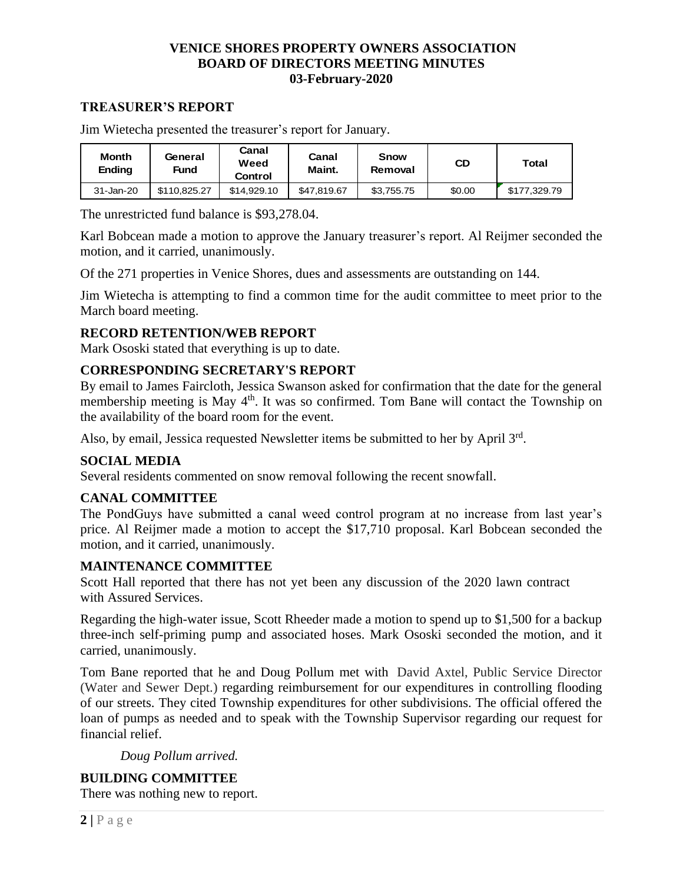## **VENICE SHORES PROPERTY OWNERS ASSOCIATION BOARD OF DIRECTORS MEETING MINUTES 03-February-2020**

## **TREASURER'S REPORT**

| <b>Month</b><br><b>Ending</b> | General<br>Fund | Canal<br>Weed<br>Control | Canal<br>Maint. | <b>Snow</b><br>Removal | CD     | Total        |
|-------------------------------|-----------------|--------------------------|-----------------|------------------------|--------|--------------|
| 31-Jan-20                     | \$110.825.27    | \$14,929.10              | \$47.819.67     | \$3.755.75             | \$0.00 | \$177.329.79 |

Jim Wietecha presented the treasurer's report for January.

The unrestricted fund balance is \$93,278.04.

Karl Bobcean made a motion to approve the January treasurer's report. Al Reijmer seconded the motion, and it carried, unanimously.

Of the 271 properties in Venice Shores, dues and assessments are outstanding on 144.

Jim Wietecha is attempting to find a common time for the audit committee to meet prior to the March board meeting.

## **RECORD RETENTION/WEB REPORT**

Mark Ososki stated that everything is up to date.

## **CORRESPONDING SECRETARY'S REPORT**

By email to James Faircloth, Jessica Swanson asked for confirmation that the date for the general membership meeting is May 4<sup>th</sup>. It was so confirmed. Tom Bane will contact the Township on the availability of the board room for the event.

Also, by email, Jessica requested Newsletter items be submitted to her by April 3rd.

## **SOCIAL MEDIA**

Several residents commented on snow removal following the recent snowfall.

## **CANAL COMMITTEE**

The PondGuys have submitted a canal weed control program at no increase from last year's price. Al Reijmer made a motion to accept the \$17,710 proposal. Karl Bobcean seconded the motion, and it carried, unanimously.

## **MAINTENANCE COMMITTEE**

Scott Hall reported that there has not yet been any discussion of the 2020 lawn contract with Assured Services.

Regarding the high-water issue, Scott Rheeder made a motion to spend up to \$1,500 for a backup three-inch self-priming pump and associated hoses. Mark Ososki seconded the motion, and it carried, unanimously.

Tom Bane reported that he and Doug Pollum met with David Axtel, Public Service Director (Water and Sewer Dept.) regarding reimbursement for our expenditures in controlling flooding of our streets. They cited Township expenditures for other subdivisions. The official offered the loan of pumps as needed and to speak with the Township Supervisor regarding our request for financial relief.

*Doug Pollum arrived.*

# **BUILDING COMMITTEE**

There was nothing new to report.